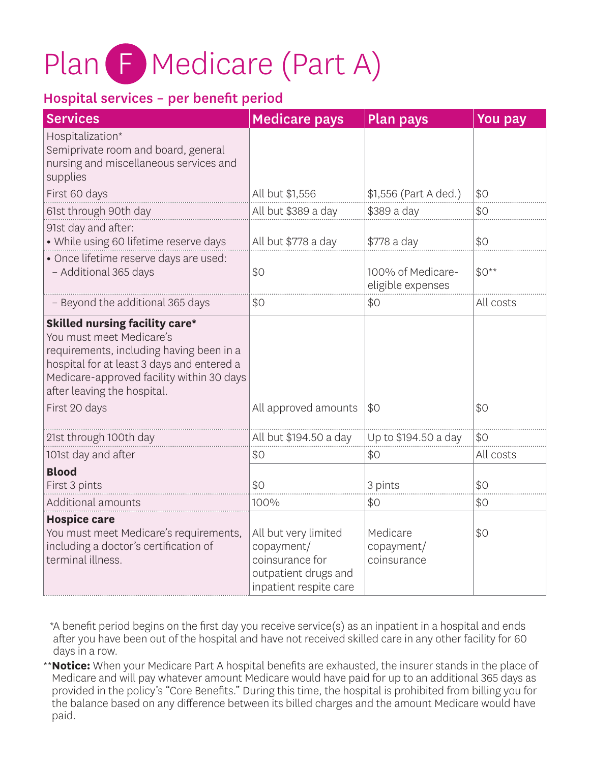# Plan F Medicare (Part A)

#### Hospital services – per benefit period

| <b>Services</b>                                                                                                                                                                                                                                          | <b>Medicare pays</b>                                                                                    | <b>Plan pays</b>                       | You pay    |
|----------------------------------------------------------------------------------------------------------------------------------------------------------------------------------------------------------------------------------------------------------|---------------------------------------------------------------------------------------------------------|----------------------------------------|------------|
| Hospitalization*<br>Semiprivate room and board, general<br>nursing and miscellaneous services and<br>supplies                                                                                                                                            |                                                                                                         |                                        |            |
| First 60 days                                                                                                                                                                                                                                            | All but \$1,556                                                                                         | \$1,556 (Part A ded.)                  | \$0        |
| 61st through 90th day                                                                                                                                                                                                                                    | All but \$389 a day                                                                                     | \$389 a day                            | \$0        |
| 91st day and after:<br>• While using 60 lifetime reserve days                                                                                                                                                                                            | All but \$778 a day                                                                                     | \$778 a day                            | \$0        |
| · Once lifetime reserve days are used:<br>- Additional 365 days                                                                                                                                                                                          | \$0                                                                                                     | 100% of Medicare-<br>eligible expenses | $$0**$     |
| - Beyond the additional 365 days                                                                                                                                                                                                                         | \$0                                                                                                     | \$0                                    | All costs  |
| <b>Skilled nursing facility care*</b><br>You must meet Medicare's<br>requirements, including having been in a<br>hospital for at least 3 days and entered a<br>Medicare-approved facility within 30 days<br>after leaving the hospital.<br>First 20 days | All approved amounts                                                                                    | \$0                                    | \$0        |
| 21st through 100th day                                                                                                                                                                                                                                   | All but \$194.50 a day                                                                                  | Up to \$194.50 a day                   | \$0        |
| 101st day and after                                                                                                                                                                                                                                      | \$0                                                                                                     | \$0                                    | All costs  |
| <b>Blood</b><br>First 3 pints<br>Additional amounts                                                                                                                                                                                                      | \$0<br>100%                                                                                             | 3 pints<br>\$0                         | \$0<br>\$0 |
| <b>Hospice care</b><br>You must meet Medicare's requirements,<br>including a doctor's certification of<br>terminal illness.                                                                                                                              | All but very limited<br>copayment/<br>coinsurance for<br>outpatient drugs and<br>inpatient respite care | Medicare<br>copayment/<br>coinsurance  | \$0        |

\*A benefit period begins on the first day you receive service(s) as an inpatient in a hospital and ends after you have been out of the hospital and have not received skilled care in any other facility for 60 days in a row.

\*\* **Notice:** When your Medicare Part A hospital benefits are exhausted, the insurer stands in the place of Medicare and will pay whatever amount Medicare would have paid for up to an additional 365 days as provided in the policy's "Core Benefits." During this time, the hospital is prohibited from billing you for the balance based on any difference between its billed charges and the amount Medicare would have paid.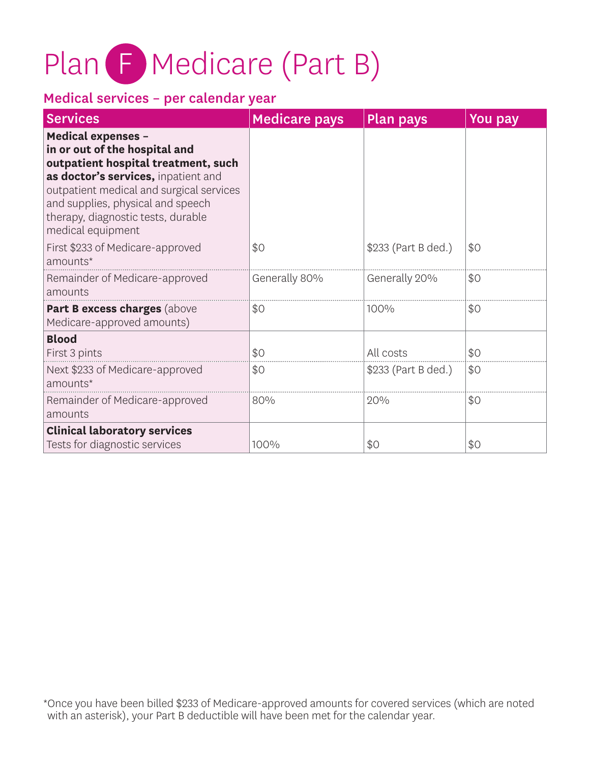# Plan (F) Medicare (Part B)

### Medical services – per calendar year

| <b>Services</b>                                                                                                                                                                                                                                                                      | <b>Medicare pays</b> | <b>Plan pays</b>    | You pay |
|--------------------------------------------------------------------------------------------------------------------------------------------------------------------------------------------------------------------------------------------------------------------------------------|----------------------|---------------------|---------|
| <b>Medical expenses -</b><br>in or out of the hospital and<br>outpatient hospital treatment, such<br>as doctor's services, inpatient and<br>outpatient medical and surgical services<br>and supplies, physical and speech<br>therapy, diagnostic tests, durable<br>medical equipment |                      |                     |         |
| First \$233 of Medicare-approved<br>amounts*                                                                                                                                                                                                                                         | \$0                  | \$233 (Part B ded.) | \$0     |
| Remainder of Medicare-approved<br>amounts                                                                                                                                                                                                                                            | Generally 80%        | Generally 20%       | \$0     |
| Part B excess charges (above<br>Medicare-approved amounts)                                                                                                                                                                                                                           | \$0                  | 100%                | \$0     |
| <b>Blood</b><br>First 3 pints                                                                                                                                                                                                                                                        | \$0                  | All costs           | \$0     |
| Next \$233 of Medicare-approved<br>amounts*                                                                                                                                                                                                                                          | \$0                  | \$233 (Part B ded.) | \$0     |
| Remainder of Medicare-approved<br>amounts                                                                                                                                                                                                                                            | 80%                  | 20%                 | \$0     |
| <b>Clinical laboratory services</b><br>Tests for diagnostic services                                                                                                                                                                                                                 | 100%                 | \$0                 | \$0     |

\* Once you have been billed \$233 of Medicare-approved amounts for covered services (which are noted with an asterisk), your Part B deductible will have been met for the calendar year.